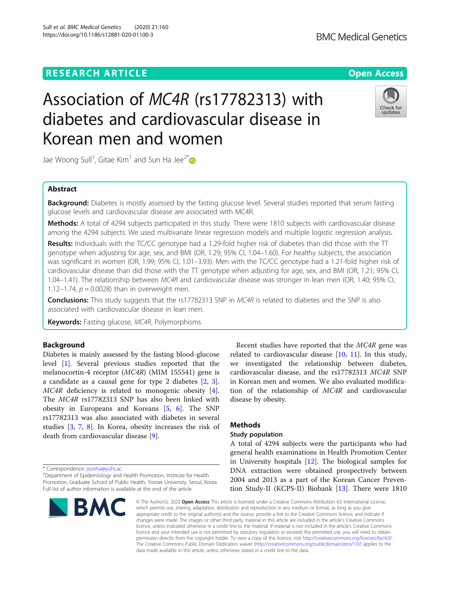# Sull et al. BMC Medical Genetics (2020) 21:160 https://doi.org/10.1186/s12881-020-01100-3

# Association of MC4R (rs17782313) with diabetes and cardiovascular disease in Korean men and women

Jae Woong Sull<sup>1</sup>, Gitae Kim<sup>1</sup> and Sun Ha Jee<sup>2[\\*](http://orcid.org/0000-0001-9519-3068)</sup>

# Abstract

**Background:** Diabetes is mostly assessed by the fasting glucose level. Several studies reported that serum fasting glucose levels and cardiovascular disease are associated with MC4R.

Methods: A total of 4294 subjects participated in this study. There were 1810 subjects with cardiovascular disease among the 4294 subjects. We used multivariate linear regression models and multiple logistic regression analysis.

Results: Individuals with the TC/CC genotype had a 1.29-fold higher risk of diabetes than did those with the TT genotype when adjusting for age, sex, and BMI (OR, 1.29; 95% CI, 1.04–1.60). For healthy subjects, the association was significant in women (OR, 1.99; 95% CI, 1.01–3.93). Men with the TC/CC genotype had a 1.21-fold higher risk of cardiovascular disease than did those with the TT genotype when adjusting for age, sex, and BMI (OR, 1.21; 95% CI, 1.04–1.41). The relationship between MC4R and cardiovascular disease was stronger in lean men (OR, 1.40; 95% CI, 1.12–1.74,  $p = 0.0028$ ) than in overweight men.

**Conclusions:** This study suggests that the rs17782313 SNP in MC4R is related to diabetes and the SNP is also associated with cardiovascular disease in lean men.

Keywords: Fasting glucose, MC4R, Polymorphisms

# Background

Diabetes is mainly assessed by the fasting blood-glucose level [[1\]](#page-4-0). Several previous studies reported that the melanocortin-4 receptor (MC4R) (MIM 155541) gene is a candidate as a causal gene for type 2 diabetes [[2,](#page-4-0) [3](#page-4-0)]. MC4R deficiency is related to monogenic obesity [\[4](#page-4-0)]. The MC4R rs17782313 SNP has also been linked with obesity in Europeans and Koreans [[5,](#page-4-0) [6](#page-4-0)]. The SNP rs17782313 was also associated with diabetes in several studies [\[3](#page-4-0), [7](#page-4-0), [8\]](#page-4-0). In Korea, obesity increases the risk of death from cardiovascular disease [[9\]](#page-4-0).

\* Correspondence: [jsunha@yuhs.ac](mailto:jsunha@yuhs.ac) <sup>2</sup>

<sup>2</sup>Department of Epidemiology and Health Promotion, Institute for Health Promotion, Graduate School of Public Health, Yonsei University, Seoul, Korea Full list of author information is available at the end of the article



Recent studies have reported that the MC4R gene was related to cardiovascular disease  $[10, 11]$  $[10, 11]$  $[10, 11]$  $[10, 11]$ . In this study, we investigated the relationship between diabetes, cardiovascular disease, and the rs17782313 MC4R SNP in Korean men and women. We also evaluated modification of the relationship of MC4R and cardiovascular disease by obesity.

# Methods

# Study population

A total of 4294 subjects were the participants who had general health examinations in Health Promotion Center in University hospitals [[12](#page-4-0)]. The biological samples for DNA extraction were obtained prospectively between 2004 and 2013 as a part of the Korean Cancer Prevention Study-II (KCPS-II) Biobank [[13](#page-4-0)]. There were 1810

© The Author(s), 2020 **Open Access** This article is licensed under a Creative Commons Attribution 4.0 International License, which permits use, sharing, adaptation, distribution and reproduction in any medium or format, as long as you give appropriate credit to the original author(s) and the source, provide a link to the Creative Commons licence, and indicate if changes were made. The images or other third party material in this article are included in the article's Creative Commons licence, unless indicated otherwise in a credit line to the material. If material is not included in the article's Creative Commons licence and your intended use is not permitted by statutory regulation or exceeds the permitted use, you will need to obtain permission directly from the copyright holder. To view a copy of this licence, visit [http://creativecommons.org/licenses/by/4.0/.](http://creativecommons.org/licenses/by/4.0/) The Creative Commons Public Domain Dedication waiver [\(http://creativecommons.org/publicdomain/zero/1.0/](http://creativecommons.org/publicdomain/zero/1.0/)) applies to the data made available in this article, unless otherwise stated in a credit line to the data.

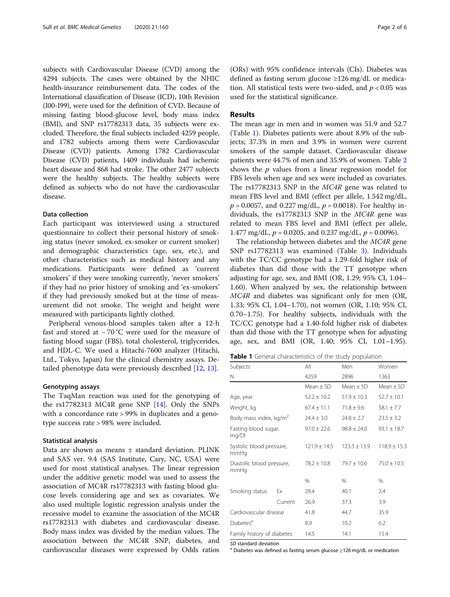subjects with Cardiovascular Disease (CVD) among the 4294 subjects. The cases were obtained by the NHIC health-insurance reimbursement data. The codes of the International classification of Disease (ICD), 10th Revision (I00-I99), were used for the definition of CVD. Because of missing fasting blood-glucose level, body mass index (BMI), and SNP rs17782313 data, 35 subjects were excluded. Therefore, the final subjects included 4259 people, and 1782 subjects among them were Cardiovascular Disease (CVD) patients. Among 1782 Cardiovascular Disease (CVD) patients, 1409 individuals had ischemic heart disease and 868 had stroke. The other 2477 subjects were the healthy subjects. The healthy subjects were defined as subjects who do not have the cardiovascular disease.

# Data collection

Each participant was interviewed using a structured questionnaire to collect their personal history of smoking status (never smoked, ex-smoker or current smoker) and demographic characteristics (age, sex, etc.), and other characteristics such as medical history and any medications. Participants were defined as 'current smokers' if they were smoking currently, 'never smokers' if they had no prior history of smoking and 'ex-smokers' if they had previously smoked but at the time of measurement did not smoke. The weight and height were measured with participants lightly clothed.

Peripheral venous-blood samples taken after a 12-h fast and stored at − 70 °C were used for the measure of fasting blood sugar (FBS), total cholesterol, triglycerides, and HDL-C. We used a Hitachi-7600 analyzer (Hitachi, Ltd., Tokyo, Japan) for the clinical chemistry assays. Detailed phenotype data were previously described [\[12](#page-4-0), [13\]](#page-4-0).

# Genotyping assays

The TaqMan reaction was used for the genotyping of the rs17782313 MC4R gene SNP [[14](#page-5-0)]. Only the SNPs with a concordance rate > 99% in duplicates and a genotype success rate > 98% were included.

### Statistical analysis

Data are shown as means ± standard deviation. PLINK and SAS ver. 9.4 (SAS Institute, Cary, NC, USA) were used for most statistical analyses. The linear regression under the additive genetic model was used to assess the association of MC4R rs17782313 with fasting blood glucose levels considering age and sex as covariates. We also used multiple logistic regression analysis under the recessive model to examine the association of the MC4R rs17782313 with diabetes and cardiovascular disease. Body mass index was divided by the median values. The association between the MC4R SNP, diabetes, and cardiovascular diseases were expressed by Odds ratios (ORs) with 95% confidence intervals (CIs). Diabetes was defined as fasting serum glucose ≥126 mg/dL or medication. All statistical tests were two-sided, and  $p < 0.05$  was used for the statistical significance.

# Results

The mean age in men and in women was 51.9 and 52.7 (Table 1). Diabetes patients were about 8.9% of the subjects; 37.3% in men and 3.9% in women were current smokers of the sample dataset. Cardiovascular disease patients were 44.7% of men and 35.9% of women. Table [2](#page-2-0) shows the  $p$  values from a linear regression model for FBS levels when age and sex were included as covariates. The rs17782313 SNP in the MC4R gene was related to mean FBS level and BMI (effect per allele, 1.542 mg/dL,  $p = 0.0057$ , and 0.227 mg/dL,  $p = 0.0018$ ). For healthy individuals, the rs17782313 SNP in the MC4R gene was related to mean FBS level and BMI (effect per allele, 1.477 mg/dL,  $p = 0.0205$ , and 0.237 mg/dL,  $p = 0.0096$ ).

The relationship between diabetes and the MC4R gene SNP rs17782313 was examined (Table [3\)](#page-2-0). Individuals with the TC/CC genotype had a 1.29-fold higher risk of diabetes than did those with the TT genotype when adjusting for age, sex, and BMI (OR, 1.29; 95% CI, 1.04– 1.60). When analyzed by sex, the relationship between MC4R and diabetes was significant only for men (OR, 1.33; 95% CI, 1.04–1.70), not women (OR, 1.10; 95% CI, 0.70–1.75). For healthy subjects, individuals with the TC/CC genotype had a 1.40-fold higher risk of diabetes than did those with the TT genotype when for adjusting age, sex, and BMI (OR, 1.40; 95% CI, 1.01–1.95).

Table 1 General characteristics of the study population

| Subjects<br>N                      |         | All              | Men              | Women            |  |
|------------------------------------|---------|------------------|------------------|------------------|--|
|                                    |         | 4259             | 2896             | 1363             |  |
|                                    |         | $Mean + SD$      | $Mean + SD$      | $Mean + SD$      |  |
| Age, year                          |         | $52.2 \pm 10.2$  | $51.9 \pm 10.3$  | $52.7 \pm 10.1$  |  |
| Weight, kg                         |         | $67.4 \pm 11.1$  | $71.8 \pm 9.6$   | $58.1 \pm 7.7$   |  |
| Body mass index, kg/m <sup>2</sup> |         | $24.4 \pm 3.0$   | $24.8 \pm 2.7$   | $23.5 \pm 3.2$   |  |
| Fasting blood sugar,<br>mg/Dl      |         | $97.0 \pm 22.6$  | $98.8 \pm 24.0$  | $93.1 \pm 18.7$  |  |
| Systolic blood pressure,<br>mmHq   |         | $121.9 \pm 14.5$ | $123.3 \pm 13.9$ | $118.9 \pm 15.3$ |  |
| Diastolic blood pressure,<br>mmHg  |         | $78.2 \pm 10.8$  | $79.7 \pm 10.6$  | $75.0 \pm 10.5$  |  |
|                                    |         | %                | $\%$             | %                |  |
| Smoking status                     | Fx      | 28.4             | 40.1             | 2.4              |  |
|                                    | Current | 26.9             | 37.3             | 3.9              |  |
| Cardiovascular disease             |         | 41.8             | 44.7             | 35.9             |  |
| Diabetes <sup>a</sup>              |         | 8.9              | 10.2             | 6.2              |  |
| Family history of diabetes         |         | 14.5             | 14.1             | 15.4             |  |

SD standard deviation<br><sup>a</sup> Diabetes was defined as fasting serum glucose ≥126 mg/dL or medication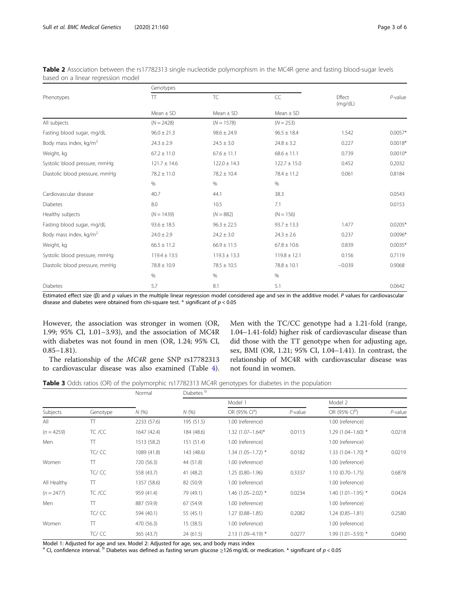|                                    | Genotypes        |                  |                  |                   |            |
|------------------------------------|------------------|------------------|------------------|-------------------|------------|
| Phenotypes                         | $\top$           | <b>TC</b>        | CC               | Effect<br>(mq/dL) | $P$ -value |
|                                    | $Mean \pm SD$    | Mean $\pm$ SD    | $Mean \pm SD$    |                   |            |
| All subjects                       | $(N = 2428)$     | $(N = 1578)$     | $(N = 253)$      |                   |            |
| Fasting blood sugar, mg/dL         | $96.0 \pm 21.3$  | $98.6 \pm 24.9$  | $96.5 \pm 18.4$  | 1.542             | $0.0057*$  |
| Body mass index, kg/m <sup>2</sup> | $24.3 \pm 2.9$   | $24.5 \pm 3.0$   | $24.8 \pm 3.2$   | 0.227             | $0.0018*$  |
| Weight, kg                         | $67.2 \pm 11.0$  | $67.6 \pm 11.1$  | $68.6 \pm 11.1$  | 0.739             | $0.0010*$  |
| Systolic blood pressure, mmHq      | $121.7 \pm 14.6$ | $122.0 \pm 14.3$ | $122.7 \pm 15.0$ | 0.452             | 0.2032     |
| Diastolic blood pressure, mmHg     | $78.2 \pm 11.0$  | $78.2 \pm 10.4$  | $78.4 \pm 11.2$  | 0.061             | 0.8184     |
|                                    | $\%$             | %                | $\%$             |                   |            |
| Cardiovascular disease             | 40.7             | 44.1             | 38.3             |                   | 0.0543     |
| <b>Diabetes</b>                    | 8.0              | 10.5             | 7.1              |                   | 0.0153     |
| Healthy subjects                   | $(N = 1439)$     | $(N = 882)$      | $(N = 156)$      |                   |            |
| Fasting blood sugar, mg/dL         | $93.6 \pm 18.5$  | $96.3 \pm 22.5$  | $93.7 \pm 13.3$  | 1.477             | $0.0205*$  |
| Body mass index, kg/m <sup>2</sup> | $24.0 \pm 2.9$   | $24.2 \pm 3.0$   | $24.3 \pm 2.6$   | 0.237             | $0.0096*$  |
| Weight, kg                         | $66.5 \pm 11.2$  | $66.9 \pm 11.5$  | $67.8 \pm 10.6$  | 0.839             | $0.0035*$  |
| Systolic blood pressure, mmHg      | $119.4 \pm 13.5$ | $119.3 \pm 13.3$ | $119.8 \pm 12.1$ | 0.156             | 0.7119     |
| Diastolic blood pressure, mmHg     | $78.8 \pm 10.9$  | $78.5 \pm 10.5$  | $78.8 \pm 10.1$  | $-0.039$          | 0.9068     |
|                                    | $\%$             | $\%$             | $\%$             |                   |            |
| <b>Diabetes</b>                    | 5.7              | 8.1              | 5.1              |                   | 0.0642     |
|                                    |                  |                  |                  |                   |            |

<span id="page-2-0"></span>Table 2 Association between the rs17782313 single nucleotide polymorphism in the MC4R gene and fasting blood-sugar levels based on a linear regression model

Estimated effect size (β) and p values in the multiple linear regression model considered age and sex in the additive model. P values for cardiovascular disease and diabetes were obtained from chi-square test. \* significant of  $p < 0.05$ 

However, the association was stronger in women (OR, 1.99; 95% CI, 1.01–3.93), and the association of MC4R with diabetes was not found in men (OR, 1.24; 95% CI, 0.85–1.81).

The relationship of the MC4R gene SNP rs17782313 to cardiovascular disease was also examined (Table [4](#page-3-0)). Men with the TC/CC genotype had a 1.21-fold (range, 1.04–1.41-fold) higher risk of cardiovascular disease than did those with the TT genotype when for adjusting age, sex, BMI (OR, 1.21; 95% CI, 1.04–1.41). In contrast, the relationship of MC4R with cardiovascular disease was not found in women.

Table 3 Odds ratios (OR) of the polymorphic rs17782313 MC4R genotypes for diabetes in the population

|              |          | Normal<br>N(% | Diabetes <sup>b</sup> |                           |            |                           |            |  |
|--------------|----------|---------------|-----------------------|---------------------------|------------|---------------------------|------------|--|
| Subjects     | Genotype |               | N(%)                  | Model 1                   |            |                           | Model 2    |  |
|              |          |               |                       | OR (95% Cl <sup>a</sup> ) | $P$ -value | OR (95% CI <sup>b</sup> ) | $P$ -value |  |
| All          | TT       | 2233 (57.6)   | 195 (51.5)            | 1.00 (reference)          |            | 1.00 (reference)          |            |  |
| $(n = 4259)$ | TC /CC   | 1647 (42.4)   | 184 (48.6)            | $1.32$ $(1.07-1.64)$ *    | 0.0113     | $1.29(1.04 - 1.60)$ *     | 0.0218     |  |
| Men          | π        | 1513 (58.2)   | 151 (51.4)            | 1.00 (reference)          |            | 1.00 (reference)          |            |  |
|              | TC/CC    | 1089 (41.8)   | 143 (48.6)            | $1.34$ (1.05-1.72) *      | 0.0182     | $1.33(1.04 - 1.70)$ *     | 0.0219     |  |
| Women        | Π        | 720 (56.3)    | 44 (51.8)             | 1.00 (reference)          |            | 1.00 (reference)          |            |  |
|              | TC/CC    | 558 (43.7)    | 41 (48.2)             | $1.25(0.80 - 1.96)$       | 0.3337     | $1.10(0.70 - 1.75)$       | 0.6878     |  |
| All Healthy  | Π        | 1357 (58.6)   | 82 (50.9)             | 1.00 (reference)          |            | 1.00 (reference)          |            |  |
| $(n = 2477)$ | TC /CC   | 959 (41.4)    | 79 (49.1)             | $1.46$ (1.05-2.02) *      | 0.0234     | $1.40(1.01-1.95)$ *       | 0.0424     |  |
| Men          | π        | 887 (59.9)    | 67 (54.9)             | 1.00 (reference)          |            | 1.00 (reference)          |            |  |
|              | TC/CC    | 594 (40.1)    | 55 (45.1)             | $1.27(0.88 - 1.85)$       | 0.2082     | $1.24(0.85 - 1.81)$       | 0.2580     |  |
| Women        | π        | 470 (56.3)    | 15 (38.5)             | 1.00 (reference)          |            | 1.00 (reference)          |            |  |
|              | TC/CC    | 365 (43.7)    | 24 (61.5)             | $2.13(1.09 - 4.19)$ *     | 0.0277     | $1.99(1.01 - 3.93)$ *     | 0.0490     |  |

Model 1: Adjusted for age and sex. Model 2: Adjusted for age, sex, and body mass index

<sup>a</sup> CI, confidence interval. <sup>b</sup> Diabetes was defined as fasting serum glucose ≥126 mg/dL or medication. \* significant of  $p < 0.05$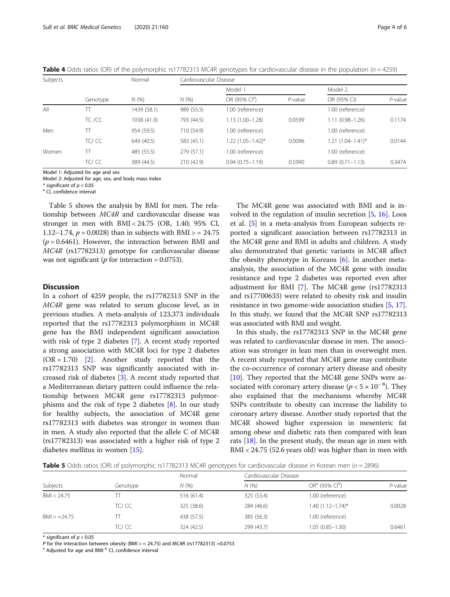| Subjects |          | Normal      | Cardiovascular Disease |                           |            |                        |         |  |
|----------|----------|-------------|------------------------|---------------------------|------------|------------------------|---------|--|
|          |          | N(%         | N(%                    | Model 1                   |            | Model 2                |         |  |
|          | Genotype |             |                        | OR (95% Cl <sup>a</sup> ) | $P$ -value | OR (95% CI)            | P-value |  |
| All      |          | 1439 (58.1) | 989 (55.5)             | 1.00 (reference)          |            | 1.00 (reference)       |         |  |
|          | TC /CC   | 1038 (41.9) | 793 (44.5)             | $1.13(1.00 - 1.28)$       | 0.0599     | $1.11(0.98 - 1.26)$    | 0.1174  |  |
| Men      | π        | 954 (59.5)  | 710 (54.9)             | 1.00 (reference)          |            | 1.00 (reference)       |         |  |
|          | TC/CC    | 649 (40.5)  | 583 (45.1)             | $1.22$ $(1.05 - 1.42)^*$  | 0.0096     | $1.21 (1.04 - 1.41)^*$ | 0.0144  |  |
| Women    | Π        | 485 (55.5)  | 279 (57.1)             | 1.00 (reference)          |            | 1.00 (reference)       |         |  |
|          | TC/CC    | 389 (44.5)  | 210 (42.9)             | $0.94(0.75 - 1.19)$       | 0.5990     | $0.89(0.71 - 1.13)$    | 0.3474  |  |

<span id="page-3-0"></span>**Table 4** Odds ratios (OR) of the polymorphic rs17782313 MC4R genotypes for cardiovascular disease in the population ( $n = 4259$ )

Model 1: Adjusted for age and sex Model 2: Adjusted for age, sex, and body mass index

\* significant of  $p < 0.05$ <br><sup>a</sup> CI, confidence interval

Table 5 shows the analysis by BMI for men. The relationship between MC4R and cardiovascular disease was stronger in men with BMI < 24.75 (OR, 1.40; 95% CI, 1.12–1.74,  $p = 0.0028$ ) than in subjects with BMI  $> = 24.75$  $(p = 0.6461)$ . However, the interaction between BMI and MC4R (rs17782313) genotype for cardiovascular disease was not significant ( $p$  for interaction = 0.0753).

# **Discussion**

In a cohort of 4259 people, the rs17782313 SNP in the MC4R gene was related to serum glucose level, as in previous studies. A meta-analysis of 123,373 individuals reported that the rs17782313 polymorphism in MC4R gene has the BMI independent significant association with risk of type 2 diabetes [[7\]](#page-4-0). A recent study reported a strong association with MC4R loci for type 2 diabetes  $(OR = 1.70)$  [\[2](#page-4-0)]. Another study reported that the rs17782313 SNP was significantly associated with increased risk of diabetes [[3\]](#page-4-0). A recent study reported that a Mediterranean dietary pattern could influence the relationship between MC4R gene rs17782313 polymorphisms and the risk of type 2 diabetes [\[8](#page-4-0)]. In our study for healthy subjects, the association of MC4R gene rs17782313 with diabetes was stronger in women than in men. A study also reported that the allele C of MC4R (rs17782313) was associated with a higher risk of type 2 diabetes mellitus in women [\[15\]](#page-5-0).

The MC4R gene was associated with BMI and is involved in the regulation of insulin secretion [[5,](#page-4-0) [16\]](#page-5-0). Loos et al. [\[5](#page-4-0)] in a meta-analysis from European subjects reported a significant association between rs17782313 in the MC4R gene and BMI in adults and children. A study also demonstrated that genetic variants in MC4R affect the obesity phenotype in Koreans [[6\]](#page-4-0). In another metaanalysis, the association of the MC4R gene with insulin resistance and type 2 diabetes was reported even after adjustment for BMI [[7](#page-4-0)]. The MC4R gene (rs17782313 and rs17700633) were related to obesity risk and insulin resistance in two genome-wide association studies [[5](#page-4-0), [17](#page-5-0)]. In this study, we found that the MC4R SNP rs17782313 was associated with BMI and weight.

In this study, the rs17782313 SNP in the MC4R gene was related to cardiovascular disease in men. The association was stronger in lean men than in overweight men. A recent study reported that MC4R gene may contribute the co-occurrence of coronary artery disease and obesity [[10\]](#page-4-0). They reported that the MC4R gene SNPs were associated with coronary artery disease ( $p < 5 \times 10^{-8}$ ). They also explained that the mechanisms whereby MC4R SNPs contribute to obesity can increase the liability to coronary artery disease. Another study reported that the MC4R showed higher expression in mesenteric fat among obese and diabetic rats then compared with lean rats  $[18]$  $[18]$ . In the present study, the mean age in men with BMI < 24.75 (52.6 years old) was higher than in men with

**Table 5** Odds ratios (OR) of polymorphic rs17782313 MC4R genotypes for cardiovascular disease in Korean men ( $n = 2896$ )

|                |          | Normal     |            | Cardiovascular Disease  |         |  |
|----------------|----------|------------|------------|-------------------------|---------|--|
| Subjects       | Genotype | N(%        | N(%        | $ORa$ (95% $Clb$ )      | P-value |  |
| BM < 24.75     |          | 516 (61.4) | 325 (53.4) | 1.00 (reference)        |         |  |
|                | TC/CC    | 325 (38.6) | 284 (46.6) | $1.40(1.12 - 1.74)^{*}$ | 0.0028  |  |
| $BM > = 24.75$ |          | 438 (57.5) | 385 (56.3) | 1.00 (reference)        |         |  |
|                | TC/ CC   | 324 (42.5) | 299 (43.7) | $1.05(0.85 - 1.30)$     | 0.6461  |  |

 $*$  significant of  $p < 0.05$ 

P for the interaction between obesity (BMI > = 24.75) and MC4R (rs17782313) =0.0753<br><sup>a</sup> Adjusted for age and BMI <sup>b</sup> CI, confidence interval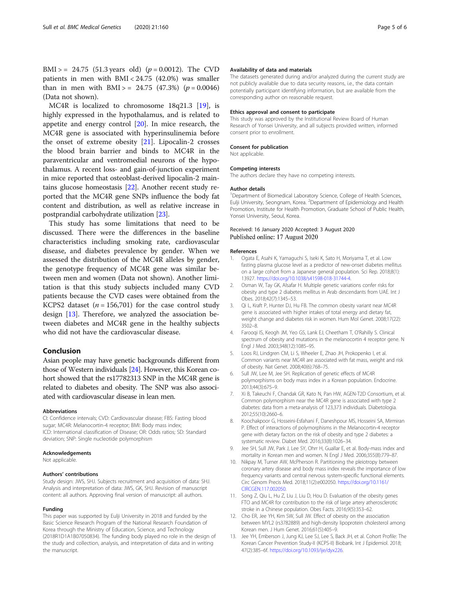<span id="page-4-0"></span>BMI > = 24.75 (51.3 years old) ( $p = 0.0012$ ). The CVD patients in men with BMI < 24.75 (42.0%) was smaller than in men with  $BMI > = 24.75$  (47.3%) ( $p = 0.0046$ ) (Data not shown).

MC4R is localized to chromosome 18q21.3 [\[19](#page-5-0)], is highly expressed in the hypothalamus, and is related to appetite and energy control [[20\]](#page-5-0). In mice research, the MC4R gene is associated with hyperinsulinemia before the onset of extreme obesity [[21\]](#page-5-0). Lipocalin-2 crosses the blood brain barrier and binds to MC4R in the paraventricular and ventromedial neurons of the hypothalamus. A recent loss- and gain-of-junction experiment in mice reported that osteoblast-derived lipocalin-2 maintains glucose homeostasis [[22](#page-5-0)]. Another recent study reported that the MC4R gene SNPs influence the body fat content and distribution, as well as relative increase in postprandial carbohydrate utilization [[23](#page-5-0)].

This study has some limitations that need to be discussed. There were the differences in the baseline characteristics including smoking rate, cardiovascular disease, and diabetes prevalence by gender. When we assessed the distribution of the MC4R alleles by gender, the genotype frequency of MC4R gene was similar between men and women (Data not shown). Another limitation is that this study subjects included many CVD patients because the CVD cases were obtained from the KCPS2 dataset ( $n = 156,701$ ) for the case control study design [13]. Therefore, we analyzed the association between diabetes and MC4R gene in the healthy subjects who did not have the cardiovascular disease.

# Conclusion

Asian people may have genetic backgrounds different from those of Western individuals [[24](#page-5-0)]. However, this Korean cohort showed that the rs17782313 SNP in the MC4R gene is related to diabetes and obesity. The SNP was also associated with cardiovascular disease in lean men.

#### Abbreviations

CI: Confidence intervals; CVD: Cardiovascular disease; FBS: Fasting blood sugar; MC4R: Melanocortin-4 receptor; BMI: Body mass index; ICD: International classification of Disease; OR: Odds ratios; SD: Standard deviation; SNP: Single nucleotide polymorphism

#### Acknowledgements

Not applicable.

#### Authors' contributions

Study design: JWS, SHJ. Subjects recruitment and acquisition of data: SHJ. Analysis and interpretation of data: JWS, GK, SHJ. Revision of manuscript content: all authors. Approving final version of manuscript: all authors.

#### Funding

This paper was supported by Eulji University in 2018 and funded by the Basic Science Research Program of the National Research Foundation of Korea through the Ministry of Education, Science, and Technology (2018R1D1A1B07050834). The funding body played no role in the design of the study and collection, analysis, and interpretation of data and in writing the manuscript.

#### Availability of data and materials

The datasets generated during and/or analyzed during the current study are not publicly available due to data security reasons, i.e., the data contain potentially participant identifying information, but are available from the corresponding author on reasonable request.

#### Ethics approval and consent to participate

This study was approved by the Institutional Review Board of Human Research of Yonsei University, and all subjects provided written, informed consent prior to enrollment.

### Consent for publication

Not applicable.

#### Competing interests

The authors declare they have no competing interests.

#### Author details

<sup>1</sup>Department of Biomedical Laboratory Science, College of Health Sciences, Eulji University, Seongnam, Korea. <sup>2</sup>Department of Epidemiology and Health Promotion, Institute for Health Promotion, Graduate School of Public Health, Yonsei University, Seoul, Korea.

# Received: 16 January 2020 Accepted: 3 August 2020 Published online: 17 August 2020

#### References

- 1. Ogata E, Asahi K, Yamaguchi S, Iseki K, Sato H, Moriyama T, et al. Low fasting plasma glucose level as a predictor of new-onset diabetes mellitus on a large cohort from a Japanese general population. Sci Rep. 2018;8(1): 13927. [https://doi.org/10.1038/s41598-018-31744-4.](https://doi.org/10.1038/s41598-018-31744-4)
- 2. Osman W, Tay GK, Alsafar H. Multiple genetic variations confer risks for obesity and type 2 diabetes mellitus in Arab descendants from UAE. Int J Obes. 2018;42(7):1345–53.
- 3. Qi L, Kraft P, Hunter DJ, Hu FB. The common obesity variant near MC4R gene is associated with higher intakes of total energy and dietary fat, weight change and diabetes risk in women. Hum Mol Genet. 2008;17(22): 3502–8.
- 4. Farooqi IS, Keogh JM, Yeo GS, Lank EJ, Cheetham T, O'Rahilly S. Clinical spectrum of obesity and mutations in the melanocortin 4 receptor gene. N Engl J Med. 2003;348(12):1085–95.
- 5. Loos RJ, Lindgren CM, Li S, Wheeler E, Zhao JH, Prokopenko I, et al. Common variants near MC4R are associated with fat mass, weight and risk of obesity. Nat Genet. 2008;40(6):768–75.
- 6. Sull JW, Lee M, Jee SH. Replication of genetic effects of MC4R polymorphisms on body mass index in a Korean population. Endocrine. 2013;44(3):675–9.
- 7. Xi B, Takeuchi F, Chandak GR, Kato N, Pan HW, AGEN-T2D Consortium, et al. Common polymorphism near the MC4R gene is associated with type 2 diabetes: data from a meta-analysis of 123,373 individuals. Diabetologia. 2012;55(10):2660–6.
- 8. Koochakpoor G, Hosseini-Esfahani F, Daneshpour MS, Hosseini SA, Mirmiran P. Effect of interactions of polymorphisms in the Melanocortin-4 receptor gene with dietary factors on the risk of obesity and type 2 diabetes: a systematic review. Diabet Med. 2016;33(8):1026–34.
- 9. Jee SH, Sull JW, Park J, Lee SY, Ohrr H, Guallar E, et al. Body-mass index and mortality in Korean men and women. N Engl J Med. 2006;355(8):779–87.
- 10. Nikpay M, Turner AW, McPherson R. Partitioning the pleiotropy between coronary artery disease and body mass index reveals the importance of low frequency variants and central nervous system-specific functional elements. Circ Genom Precis Med. 2018;11(2):e002050. [https://doi.org/10.1161/](https://doi.org/10.1161/CIRCGEN.117.002050) [CIRCGEN.117.002050](https://doi.org/10.1161/CIRCGEN.117.002050).
- 11. Song Z, Qiu L, Hu Z, Liu J, Liu D, Hou D. Evaluation of the obesity genes FTO and MC4R for contribution to the risk of large artery atherosclerotic stroke in a Chinese population. Obes Facts. 2016;9(5):353–62.
- 12. Cho ER, Jee YH, Kim SW, Sull JW. Effect of obesity on the association between MYL2 (rs3782889) and high-density lipoprotein cholesterol among Korean men. J Hum Genet. 2016;61(5):405–9.
- 13. Jee YH, Emberson J, Jung KJ, Lee SJ, Lee S, Back JH, et al. Cohort Profile: The Korean Cancer Prevention Study-II (KCPS-II) Biobank. Int J Epidemiol. 2018; 47(2):385–6f. [https://doi.org/10.1093/ije/dyx226.](https://doi.org/10.1093/ije/dyx226)